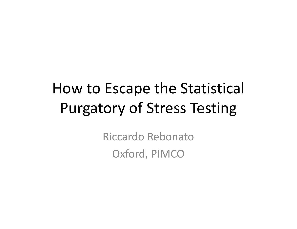# How to Escape the Statistical Purgatory of Stress Testing

Riccardo Rebonato Oxford, PIMCO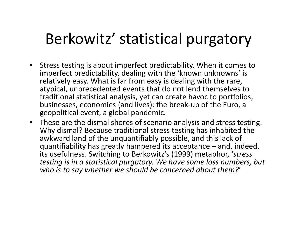## Berkowitz' statistical purgatory

- Stress testing is about imperfect predictability. When it comes to imperfect predictability, dealing with the 'known unknowns' is relatively easy. What is far from easy is dealing with the rare, atypical, unprecedented events that do not lend themselves to traditional statistical analysis, yet can create havoc to portfolios, businesses, economies (and lives): the break-up of the Euro, a geopolitical event, a global pandemic.
- These are the dismal shores of scenario analysis and stress testing. Why dismal? Because traditional stress testing has inhabited the awkward land of the unquantifiably possible, and this lack of quantifiability has greatly hampered its acceptance – and, indeed, its usefulness. Switching to Berkowitz's (1999) metaphor, '*stress testing is in a statistical purgatory. We have some loss numbers, but who is to say whether we should be concerned about them?*'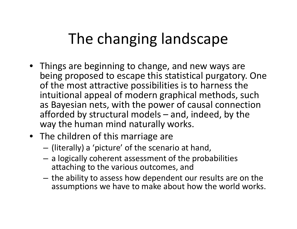# The changing landscape

- Things are beginning to change, and new ways are being proposed to escape this statistical purgatory. One of the most attractive possibilities is to harness the intuitional appeal of modern graphical methods, such as Bayesian nets, with the power of causal connection afforded by structural models – and, indeed, by the way the human mind naturally works.
- The children of this marriage are
	- (literally) a 'picture' of the scenario at hand,
	- a logically coherent assessment of the probabilities attaching to the various outcomes, and
	- the ability to assess how dependent our results are on the assumptions we have to make about how the world works.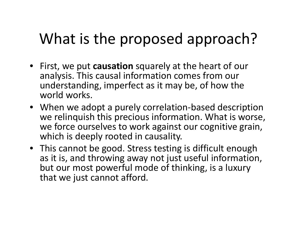# What is the proposed approach?

- First, we put **causation** squarely at the heart of our analysis. This causal information comes from our understanding, imperfect as it may be, of how the world works.
- When we adopt a purely correlation-based description we relinquish this precious information. What is worse, we force ourselves to work against our cognitive grain, which is deeply rooted in causality.
- This cannot be good. Stress testing is difficult enough as it is, and throwing away not just useful information, but our most powerful mode of thinking, is a luxury that we just cannot afford.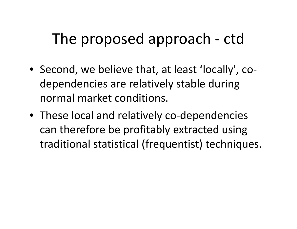- Second, we believe that, at least 'locally', codependencies are relatively stable during normal market conditions.
- These local and relatively co-dependencies can therefore be profitably extracted using traditional statistical (frequentist) techniques.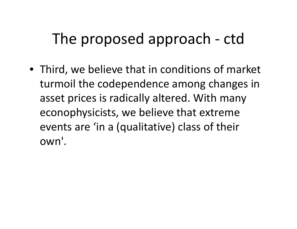• Third, we believe that in conditions of market turmoil the codependence among changes in asset prices is radically altered. With many econophysicists, we believe that extreme events are 'in a (qualitative) class of their own'.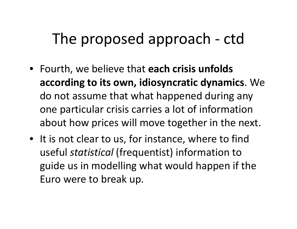- Fourth, we believe that **each crisis unfolds according to its own, idiosyncratic dynamics**. We do not assume that what happened during any one particular crisis carries a lot of information about how prices will move together in the next.
- It is not clear to us, for instance, where to find useful *statistical* (frequentist) information to guide us in modelling what would happen if the Euro were to break up.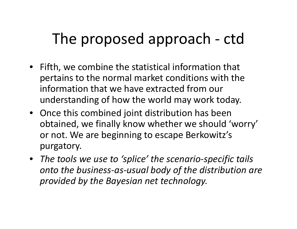- Fifth, we combine the statistical information that pertains to the normal market conditions with the information that we have extracted from our understanding of how the world may work today.
- Once this combined joint distribution has been obtained, we finally know whether we should 'worry' or not. We are beginning to escape Berkowitz's purgatory.
- *The tools we use to 'splice' the scenario-specific tails onto the business-as-usual body of the distribution are provided by the Bayesian net technology.*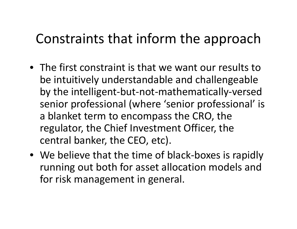#### Constraints that inform the approach

- •The first constraint is that we want our results to be intuitively understandable and challengeable by the intelligent-but-not-mathematically-versed senior professional (where 'senior professional' is a blanket term to encompass the CRO, the regulator, the Chief Investment Officer, the central banker, the CEO, etc).
- We believe that the time of black-boxes is rapidly running out both for asset allocation models and for risk management in general.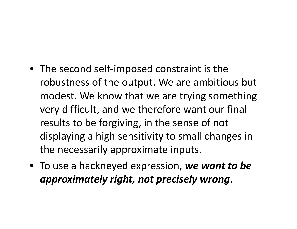- The second self-imposed constraint is the robustness of the output. We are ambitious but modest. We know that we are trying something very difficult, and we therefore want our final results to be forgiving, in the sense of not displaying a high sensitivity to small changes in the necessarily approximate inputs.
- To use a hackneyed expression, *we want to be approximately right, not precisely wrong*.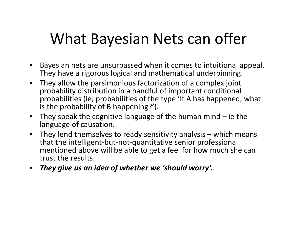## What Bayesian Nets can offer

- • Bayesian nets are unsurpassed when it comes to intuitional appeal. They have a rigorous logical and mathematical underpinning.
- $\bullet$  They allow the parsimonious factorization of a complex joint probability distribution in a handful of important conditional probabilities (ie, probabilities of the type 'If A has happened, what is the probability of B happening?').
- $\bullet$ They speak the cognitive language of the human mind  $-$  ie the language of causation.
- $\bullet$  They lend themselves to ready sensitivity analysis – which means that the intelligent-but-not-quantitative senior professional mentioned above will be able to get a feel for how much she can trust the results.
- *They give us an idea of whether we 'should worry'.*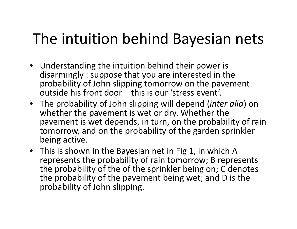# The intuition behind Bayesian nets

- Understanding the intuition behind their power is disarmingly : suppose that you are interested in the probability of John slipping tomorrow on the pavement outside his front door – this is our 'stress event'.
- The probability of John slipping will depend (*inter alia*) on whether the pavement is wet or dry. Whether the pavement is wet depends, in turn, on the probability of rain tomorrow, and on the probability of the garden sprinkler being active.
- This is shown in the Bayesian net in Fig 1, in which A represents the probability of rain tomorrow; B represents the probability of the of the sprinkler being on; C denotes the probability of the pavement being wet; and D is the probability of John slipping.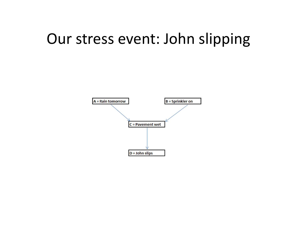### Our stress event: John slipping

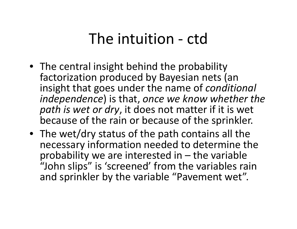### The intuition - ctd

- The central insight behind the probability factorization produced by Bayesian nets (an insight that goes under the name of *conditional independence*) is that, *once we know whether the path is wet or dry*, it does not matter if it is wet because of the rain or because of the sprinkler.
- The wet/dry status of the path contains all the necessary information needed to determine the probability we are interested in  $-$  the variable "John slips" is 'screened' from the variables rain and sprinkler by the variable "Pavement wet".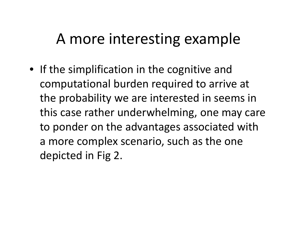### A more interesting example

• If the simplification in the cognitive and computational burden required to arrive at the probability we are interested in seems in this case rather underwhelming, one may care to ponder on the advantages associated with a more complex scenario, such as the one depicted in Fig 2.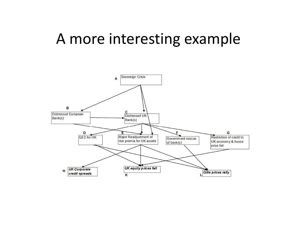#### A more interesting example

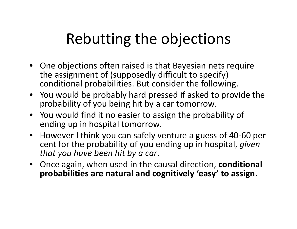# Rebutting the objections

- One objections often raised is that Bayesian nets require the assignment of (supposedly difficult to specify) conditional probabilities. But consider the following.
- You would be probably hard pressed if asked to provide the probability of you being hit by a car tomorrow.
- You would find it no easier to assign the probability of ending up in hospital tomorrow.
- However I think you can safely venture a guess of 40-60 per cent for the probability of you ending up in hospital, *given that you have been hit by a car*.
- Once again, when used in the causal direction, **conditional probabilities are natural and cognitively 'easy' to assign**.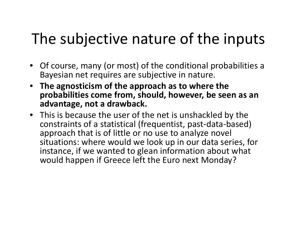# The subjective nature of the inputs

- Of course, many (or most) of the conditional probabilities a Bayesian net requires are subjective in nature.
- **The agnosticism of the approach as to where the probabilities come from, should, however, be seen as an advantage, not a drawback.**
- This is because the user of the net is unshackled by the constraints of a statistical (frequentist, past-data-based) approach that is of little or no use to analyze novel situations: where would we look up in our data series, for instance, if we wanted to glean information about what would happen if Greece left the Euro next Monday?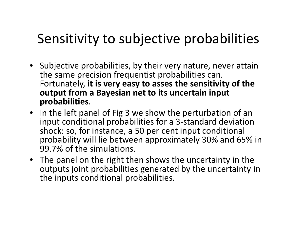#### Sensitivity to subjective probabilities

- •Subjective probabilities, by their very nature, never attain the same precision frequentist probabilities can. Fortunately, **it is very easy to asses the sensitivity of the output from a Bayesian net to its uncertain input probabilities**.
- In the left panel of Fig 3 we show the perturbation of an input conditional probabilities for a 3-standard deviation shock: so, for instance, a 50 per cent input conditional probability will lie between approximately 30% and 65% in 99.7% of the simulations.
- The panel on the right then shows the uncertainty in the outputs joint probabilities generated by the uncertainty in the inputs conditional probabilities.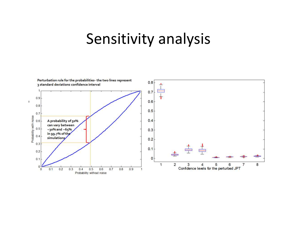#### Sensitivity analysis

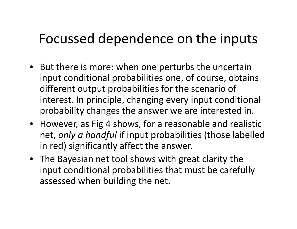#### Focussed dependence on the inputs

- But there is more: when one perturbs the uncertain input conditional probabilities one, of course, obtains different output probabilities for the scenario of interest. In principle, changing every input conditional probability changes the answer we are interested in.
- However, as Fig 4 shows, for a reasonable and realistic net, *only a handful* if input probabilities (those labelled in red) significantly affect the answer.
- The Bayesian net tool shows with great clarity the input conditional probabilities that must be carefully assessed when building the net.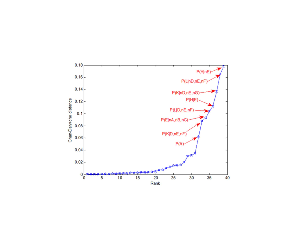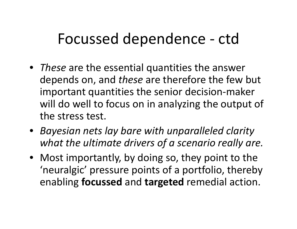## Focussed dependence - ctd

- *These* are the essential quantities the answer depends on, and *these* are therefore the few but important quantities the senior decision-maker will do well to focus on in analyzing the output of the stress test.
- *Bayesian nets lay bare with unparalleled clarity what the ultimate drivers of a scenario really are.*
- Most importantly, by doing so, they point to the 'neuralgic' pressure points of a portfolio, thereby enabling **focussed** and **targeted** remedial action.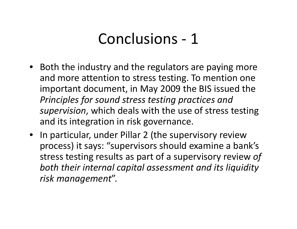### Conclusions - <sup>1</sup>

- Both the industry and the regulators are paying more and more attention to stress testing. To mention one important document, in May 2009 the BIS issued the *Principles for sound stress testing practices and supervision*, which deals with the use of stress testing and its integration in risk governance.
- In particular, under Pillar 2 (the supervisory review process) it says: "supervisors should examine a bank's stress testing results as part of a supervisory review *of both their internal capital assessment and its liquidity risk management*".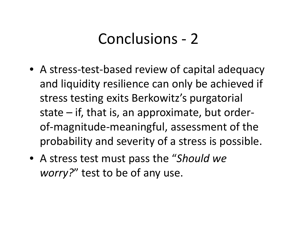### Conclusions - <sup>2</sup>

- A stress-test-based review of capital adequacy and liquidity resilience can only be achieved if stress testing exits Berkowitz's purgatorial state – if, that is, an approximate, but orderof-magnitude-meaningful, assessment of the probability and severity of a stress is possible.
- A stress test must pass the "*Should we worry?*" test to be of any use.